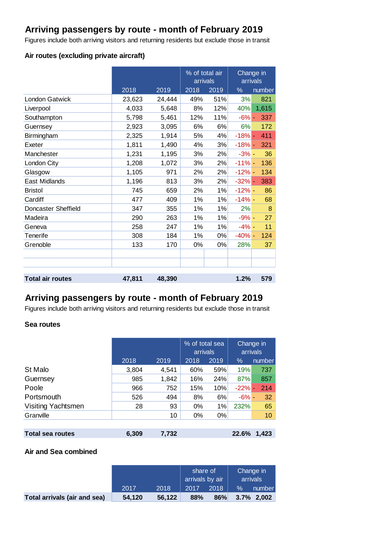# **Arriving passengers by route - month of February 2019**

Figures include both arriving visitors and returning residents but exclude those in transit

### **Air routes (excluding private aircraft)**

|                         |        |        |      | % of total air<br>arrivals |          | Change in<br>arrivals |  |
|-------------------------|--------|--------|------|----------------------------|----------|-----------------------|--|
|                         | 2018   | 2019   | 2018 | 2019                       | %        | number                |  |
| London Gatwick          | 23,623 | 24,444 | 49%  | 51%                        | 3%       | 821                   |  |
| Liverpool               | 4,033  | 5,648  | 8%   | 12%                        | 40%      | 1,615                 |  |
| Southampton             | 5,798  | 5,461  | 12%  | 11%                        | $-6%$ -  | 337                   |  |
| Guernsey                | 2,923  | 3,095  | 6%   | 6%                         | 6%       | 172                   |  |
| Birmingham              | 2,325  | 1,914  | 5%   | 4%                         | $-18%$ - | 411                   |  |
| Exeter                  | 1,811  | 1,490  | 4%   | 3%                         | $-18% -$ | 321                   |  |
| Manchester              | 1,231  | 1,195  | 3%   | 2%                         | $-3% -$  | 36                    |  |
| London City             | 1,208  | 1,072  | 3%   | 2%                         | $-11% -$ | 136                   |  |
| Glasgow                 | 1,105  | 971    | 2%   | 2%                         | $-12% -$ | 134                   |  |
| <b>East Midlands</b>    | 1,196  | 813    | 3%   | 2%                         | $-32% -$ | 383                   |  |
| <b>Bristol</b>          | 745    | 659    | 2%   | 1%                         | $-12% -$ | 86                    |  |
| Cardiff                 | 477    | 409    | 1%   | 1%                         | $-14%$ - | 68                    |  |
| Doncaster Sheffield     | 347    | 355    | 1%   | 1%                         | 2%       | 8                     |  |
| Madeira                 | 290    | 263    | 1%   | 1%                         | $-9% -$  | 27                    |  |
| Geneva                  | 258    | 247    | 1%   | 1%                         | $-4% -$  | 11                    |  |
| Tenerife                | 308    | 184    | 1%   | 0%                         | $-40% -$ | 124                   |  |
| Grenoble                | 133    | 170    | 0%   | 0%                         | 28%      | 37                    |  |
|                         |        |        |      |                            |          |                       |  |
|                         |        |        |      |                            |          |                       |  |
|                         |        |        |      |                            |          |                       |  |
| <b>Total air routes</b> | 47,811 | 48,390 |      |                            | 1.2%     | 579                   |  |

### **Arriving passengers by route - month of February 2019**

Figures include both arriving visitors and returning residents but exclude those in transit

#### **Sea routes**

|                         |       |       | % of total sea<br>arrivals |       |          | Change in<br>arrivals |
|-------------------------|-------|-------|----------------------------|-------|----------|-----------------------|
|                         | 2018  | 2019  | 2018                       | 2019  | $\%$     | number                |
| St Malo                 | 3,804 | 4,541 | 60%                        | 59%   | 19%      | 737                   |
| Guernsey                | 985   | 1,842 | 16%                        | 24%   | 87%      | 857                   |
| Poole                   | 966   | 752   | 15%                        | 10%   | $-22%$ - | 214                   |
| Portsmouth              | 526   | 494   | 8%                         | 6%    | $-6% -$  | 32                    |
| Visiting Yachtsmen      | 28    | 93    | $0\%$                      | 1%    | 232%     | 65                    |
| Granville               |       | 10    | $0\%$                      | $0\%$ |          | 10                    |
|                         |       |       |                            |       |          |                       |
| <b>Total sea routes</b> | 6,309 | 7,732 |                            |       | 22.6%    | 1,423                 |

### **Air and Sea combined**

|                              |        |        | share of<br>arrivals by air |      | Change in<br>arrivals |               |
|------------------------------|--------|--------|-----------------------------|------|-----------------------|---------------|
|                              | 2017   | 2018   | 2017                        | 2018 | $\%$                  | number        |
| Total arrivals (air and sea) | 54.120 | 56,122 | 88%                         | 86%  |                       | $3.7\%$ 2,002 |